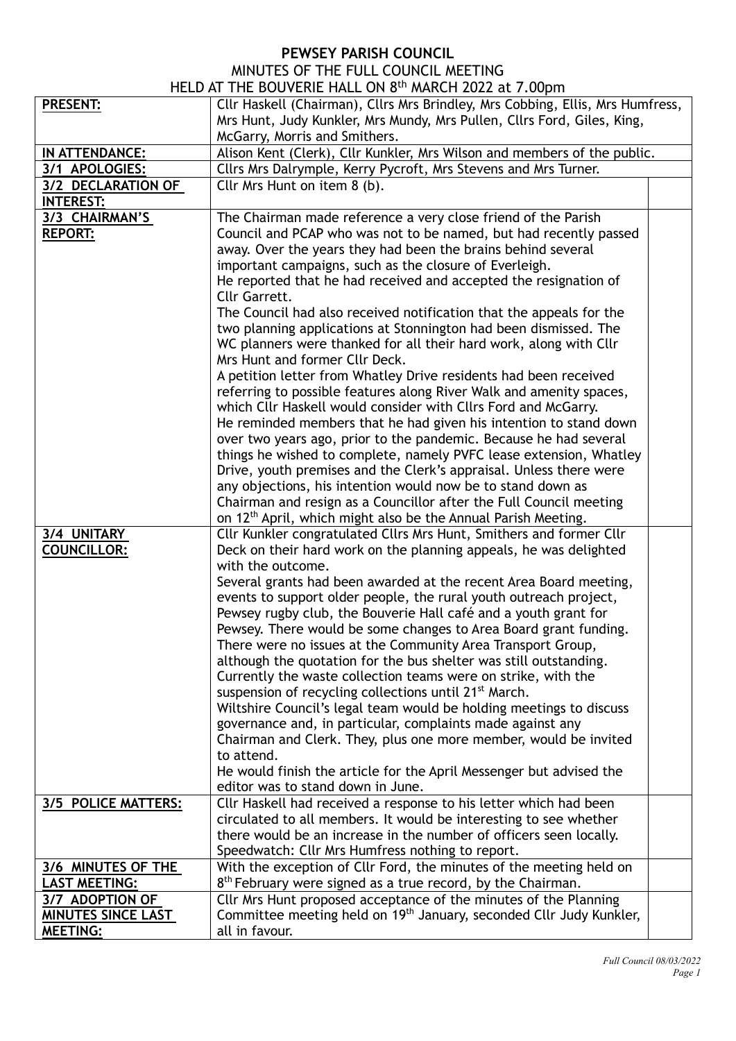## **PEWSEY PARISH COUNCIL**

## MINUTES OF THE FULL COUNCIL MEETING HELD AT THE BOUVERIE HALL ON 8<sup>th</sup> MARCH 2022 at 7.00pm

|                           | TILLD AT THE DOUVERTE HALL ON 0 MARCH 2022 at 7.00 pm                           |  |
|---------------------------|---------------------------------------------------------------------------------|--|
| <b>PRESENT:</b>           | Cllr Haskell (Chairman), Cllrs Mrs Brindley, Mrs Cobbing, Ellis, Mrs Humfress,  |  |
|                           | Mrs Hunt, Judy Kunkler, Mrs Mundy, Mrs Pullen, Cllrs Ford, Giles, King,         |  |
|                           | McGarry, Morris and Smithers.                                                   |  |
| IN ATTENDANCE:            | Alison Kent (Clerk), Cllr Kunkler, Mrs Wilson and members of the public.        |  |
| 3/1 APOLOGIES:            | Cllrs Mrs Dalrymple, Kerry Pycroft, Mrs Stevens and Mrs Turner.                 |  |
| 3/2 DECLARATION OF        | Cllr Mrs Hunt on item 8 (b).                                                    |  |
| <b>INTEREST:</b>          |                                                                                 |  |
| 3/3 CHAIRMAN'S            | The Chairman made reference a very close friend of the Parish                   |  |
| <b>REPORT:</b>            | Council and PCAP who was not to be named, but had recently passed               |  |
|                           | away. Over the years they had been the brains behind several                    |  |
|                           | important campaigns, such as the closure of Everleigh.                          |  |
|                           | He reported that he had received and accepted the resignation of                |  |
|                           | Cllr Garrett.                                                                   |  |
|                           | The Council had also received notification that the appeals for the             |  |
|                           | two planning applications at Stonnington had been dismissed. The                |  |
|                           | WC planners were thanked for all their hard work, along with Cllr               |  |
|                           | Mrs Hunt and former Cllr Deck.                                                  |  |
|                           | A petition letter from Whatley Drive residents had been received                |  |
|                           | referring to possible features along River Walk and amenity spaces,             |  |
|                           | which Cllr Haskell would consider with Cllrs Ford and McGarry.                  |  |
|                           | He reminded members that he had given his intention to stand down               |  |
|                           | over two years ago, prior to the pandemic. Because he had several               |  |
|                           | things he wished to complete, namely PVFC lease extension, Whatley              |  |
|                           | Drive, youth premises and the Clerk's appraisal. Unless there were              |  |
|                           | any objections, his intention would now be to stand down as                     |  |
|                           | Chairman and resign as a Councillor after the Full Council meeting              |  |
|                           | on 12 <sup>th</sup> April, which might also be the Annual Parish Meeting.       |  |
| 3/4 UNITARY               | Cllr Kunkler congratulated Cllrs Mrs Hunt, Smithers and former Cllr             |  |
| <b>COUNCILLOR:</b>        | Deck on their hard work on the planning appeals, he was delighted               |  |
|                           | with the outcome.                                                               |  |
|                           | Several grants had been awarded at the recent Area Board meeting,               |  |
|                           | events to support older people, the rural youth outreach project,               |  |
|                           | Pewsey rugby club, the Bouverie Hall café and a youth grant for                 |  |
|                           | Pewsey. There would be some changes to Area Board grant funding.                |  |
|                           | There were no issues at the Community Area Transport Group,                     |  |
|                           | although the quotation for the bus shelter was still outstanding.               |  |
|                           | Currently the waste collection teams were on strike, with the                   |  |
|                           | suspension of recycling collections until 21 <sup>st</sup> March.               |  |
|                           | Wiltshire Council's legal team would be holding meetings to discuss             |  |
|                           | governance and, in particular, complaints made against any                      |  |
|                           | Chairman and Clerk. They, plus one more member, would be invited                |  |
|                           | to attend.                                                                      |  |
|                           | He would finish the article for the April Messenger but advised the             |  |
|                           | editor was to stand down in June.                                               |  |
| 3/5 POLICE MATTERS:       | Cllr Haskell had received a response to his letter which had been               |  |
|                           | circulated to all members. It would be interesting to see whether               |  |
|                           | there would be an increase in the number of officers seen locally.              |  |
|                           | Speedwatch: Cllr Mrs Humfress nothing to report.                                |  |
| 3/6 MINUTES OF THE        | With the exception of Cllr Ford, the minutes of the meeting held on             |  |
| <b>LAST MEETING:</b>      | $8th$ February were signed as a true record, by the Chairman.                   |  |
| 3/7 ADOPTION OF           | Cllr Mrs Hunt proposed acceptance of the minutes of the Planning                |  |
| <b>MINUTES SINCE LAST</b> | Committee meeting held on 19 <sup>th</sup> January, seconded Cllr Judy Kunkler, |  |
| <b>MEETING:</b>           | all in favour.                                                                  |  |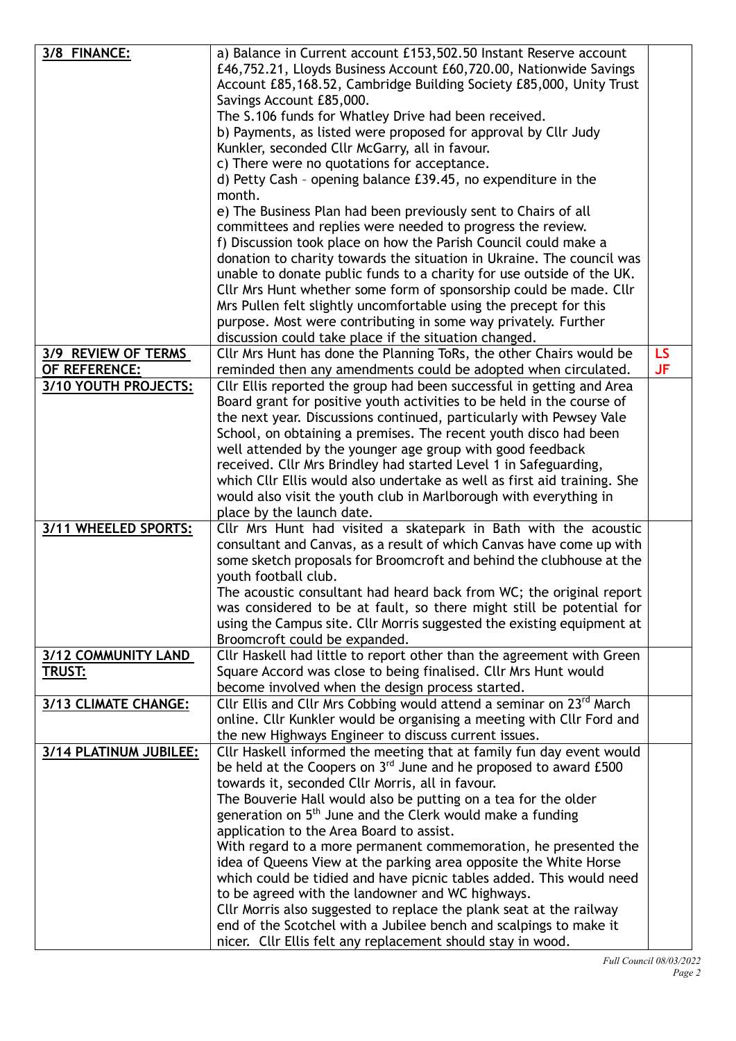| 3/8 FINANCE:           | a) Balance in Current account £153,502.50 Instant Reserve account<br>£46,752.21, Lloyds Business Account £60,720.00, Nationwide Savings      |           |
|------------------------|----------------------------------------------------------------------------------------------------------------------------------------------|-----------|
|                        | Account £85,168.52, Cambridge Building Society £85,000, Unity Trust<br>Savings Account £85,000.                                              |           |
|                        | The S.106 funds for Whatley Drive had been received.                                                                                         |           |
|                        | b) Payments, as listed were proposed for approval by Cllr Judy                                                                               |           |
|                        | Kunkler, seconded Cllr McGarry, all in favour.                                                                                               |           |
|                        | c) There were no quotations for acceptance.                                                                                                  |           |
|                        | d) Petty Cash - opening balance £39.45, no expenditure in the<br>month.                                                                      |           |
|                        | e) The Business Plan had been previously sent to Chairs of all                                                                               |           |
|                        | committees and replies were needed to progress the review.                                                                                   |           |
|                        | f) Discussion took place on how the Parish Council could make a                                                                              |           |
|                        | donation to charity towards the situation in Ukraine. The council was                                                                        |           |
|                        | unable to donate public funds to a charity for use outside of the UK.                                                                        |           |
|                        | Cllr Mrs Hunt whether some form of sponsorship could be made. Cllr<br>Mrs Pullen felt slightly uncomfortable using the precept for this      |           |
|                        | purpose. Most were contributing in some way privately. Further                                                                               |           |
|                        | discussion could take place if the situation changed.                                                                                        |           |
| 3/9 REVIEW OF TERMS    | Cllr Mrs Hunt has done the Planning ToRs, the other Chairs would be                                                                          | LS.       |
| OF REFERENCE:          | reminded then any amendments could be adopted when circulated.                                                                               | <b>JF</b> |
| 3/10 YOUTH PROJECTS:   | Cllr Ellis reported the group had been successful in getting and Area                                                                        |           |
|                        | Board grant for positive youth activities to be held in the course of<br>the next year. Discussions continued, particularly with Pewsey Vale |           |
|                        | School, on obtaining a premises. The recent youth disco had been                                                                             |           |
|                        | well attended by the younger age group with good feedback                                                                                    |           |
|                        | received. Cllr Mrs Brindley had started Level 1 in Safeguarding,                                                                             |           |
|                        | which Cllr Ellis would also undertake as well as first aid training. She                                                                     |           |
|                        | would also visit the youth club in Marlborough with everything in                                                                            |           |
| 3/11 WHEELED SPORTS:   | place by the launch date.                                                                                                                    |           |
|                        | Cllr Mrs Hunt had visited a skatepark in Bath with the acoustic<br>consultant and Canvas, as a result of which Canvas have come up with      |           |
|                        | some sketch proposals for Broomcroft and behind the clubhouse at the                                                                         |           |
|                        | youth football club.                                                                                                                         |           |
|                        | The acoustic consultant had heard back from WC; the original report                                                                          |           |
|                        | was considered to be at fault, so there might still be potential for                                                                         |           |
|                        | using the Campus site. Cllr Morris suggested the existing equipment at<br>Broomcroft could be expanded.                                      |           |
| 3/12 COMMUNITY LAND    | Cllr Haskell had little to report other than the agreement with Green                                                                        |           |
| <b>TRUST:</b>          | Square Accord was close to being finalised. Cllr Mrs Hunt would                                                                              |           |
|                        | become involved when the design process started.                                                                                             |           |
| 3/13 CLIMATE CHANGE:   | Cllr Ellis and Cllr Mrs Cobbing would attend a seminar on 23 <sup>rd</sup> March                                                             |           |
|                        | online. Cllr Kunkler would be organising a meeting with Cllr Ford and                                                                        |           |
| 3/14 PLATINUM JUBILEE: | the new Highways Engineer to discuss current issues.<br>Cllr Haskell informed the meeting that at family fun day event would                 |           |
|                        | be held at the Coopers on $3rd$ June and he proposed to award £500                                                                           |           |
|                        | towards it, seconded Cllr Morris, all in favour.                                                                                             |           |
|                        | The Bouverie Hall would also be putting on a tea for the older                                                                               |           |
|                        | generation on 5 <sup>th</sup> June and the Clerk would make a funding                                                                        |           |
|                        | application to the Area Board to assist.                                                                                                     |           |
|                        | With regard to a more permanent commemoration, he presented the                                                                              |           |
|                        | idea of Queens View at the parking area opposite the White Horse<br>which could be tidied and have picnic tables added. This would need      |           |
|                        | to be agreed with the landowner and WC highways.                                                                                             |           |
|                        | Cllr Morris also suggested to replace the plank seat at the railway                                                                          |           |
|                        | end of the Scotchel with a Jubilee bench and scalpings to make it                                                                            |           |
|                        | nicer. Cllr Ellis felt any replacement should stay in wood.                                                                                  |           |